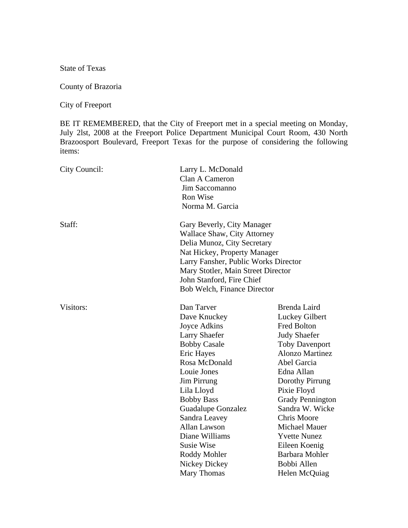State of Texas

## County of Brazoria

City of Freeport

BE IT REMEMBERED, that the City of Freeport met in a special meeting on Monday, July 2lst, 2008 at the Freeport Police Department Municipal Court Room, 430 North Brazoosport Boulevard, Freeport Texas for the purpose of considering the following items:

| City Council: | Larry L. McDonald                    |                         |
|---------------|--------------------------------------|-------------------------|
|               | Clan A Cameron                       |                         |
|               | Jim Saccomanno                       |                         |
|               | Ron Wise                             |                         |
|               | Norma M. Garcia                      |                         |
| Staff:        | Gary Beverly, City Manager           |                         |
|               | Wallace Shaw, City Attorney          |                         |
|               | Delia Munoz, City Secretary          |                         |
|               | Nat Hickey, Property Manager         |                         |
|               | Larry Fansher, Public Works Director |                         |
|               | Mary Stotler, Main Street Director   |                         |
|               | John Stanford, Fire Chief            |                         |
|               | Bob Welch, Finance Director          |                         |
| Visitors:     | Dan Tarver                           | Brenda Laird            |
|               | Dave Knuckey                         | Luckey Gilbert          |
|               | Joyce Adkins                         | <b>Fred Bolton</b>      |
|               | <b>Larry Shaefer</b>                 | <b>Judy Shaefer</b>     |
|               | <b>Bobby Casale</b>                  | <b>Toby Davenport</b>   |
|               | Eric Hayes                           | <b>Alonzo Martinez</b>  |
|               | Rosa McDonald                        | Abel Garcia             |
|               | Louie Jones                          | Edna Allan              |
|               | <b>Jim Pirrung</b>                   | Dorothy Pirrung         |
|               | Lila Lloyd                           | Pixie Floyd             |
|               | <b>Bobby Bass</b>                    | <b>Grady Pennington</b> |
|               | <b>Guadalupe Gonzalez</b>            | Sandra W. Wicke         |
|               | Sandra Leavey                        | <b>Chris Moore</b>      |
|               | <b>Allan Lawson</b>                  | <b>Michael Mauer</b>    |
|               | Diane Williams                       | <b>Yvette Nunez</b>     |
|               | <b>Susie Wise</b>                    | Eileen Koenig           |
|               | Roddy Mohler                         | <b>Barbara Mohler</b>   |
|               | Nickey Dickey                        | Bobbi Allen             |
|               | Mary Thomas                          | Helen McQuiag           |
|               |                                      |                         |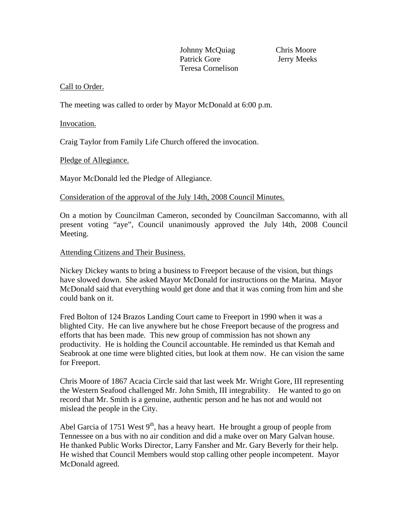Johnny McQuiag Chris Moore Patrick Gore Jerry Meeks Teresa Cornelison

# Call to Order.

The meeting was called to order by Mayor McDonald at 6:00 p.m.

### Invocation.

Craig Taylor from Family Life Church offered the invocation.

## Pledge of Allegiance.

Mayor McDonald led the Pledge of Allegiance.

Consideration of the approval of the July 14th, 2008 Council Minutes.

On a motion by Councilman Cameron, seconded by Councilman Saccomanno, with all present voting "aye", Council unanimously approved the July l4th, 2008 Council Meeting.

### Attending Citizens and Their Business.

Nickey Dickey wants to bring a business to Freeport because of the vision, but things have slowed down. She asked Mayor McDonald for instructions on the Marina. Mayor McDonald said that everything would get done and that it was coming from him and she could bank on it.

Fred Bolton of 124 Brazos Landing Court came to Freeport in 1990 when it was a blighted City. He can live anywhere but he chose Freeport because of the progress and efforts that has been made. This new group of commission has not shown any productivity. He is holding the Council accountable. He reminded us that Kemah and Seabrook at one time were blighted cities, but look at them now. He can vision the same for Freeport.

Chris Moore of 1867 Acacia Circle said that last week Mr. Wright Gore, III representing the Western Seafood challenged Mr. John Smith, III integrability. He wanted to go on record that Mr. Smith is a genuine, authentic person and he has not and would not mislead the people in the City.

Abel Garcia of 1751 West  $9<sup>th</sup>$ , has a heavy heart. He brought a group of people from Tennessee on a bus with no air condition and did a make over on Mary Galvan house. He thanked Public Works Director, Larry Fansher and Mr. Gary Beverly for their help. He wished that Council Members would stop calling other people incompetent. Mayor McDonald agreed.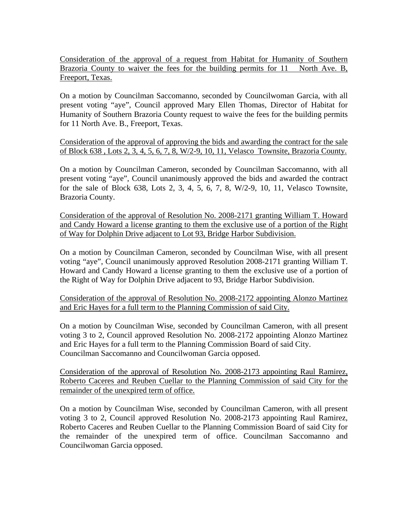Consideration of the approval of a request from Habitat for Humanity of Southern Brazoria County to waiver the fees for the building permits for 11 North Ave. B, Freeport, Texas.

On a motion by Councilman Saccomanno, seconded by Councilwoman Garcia, with all present voting "aye", Council approved Mary Ellen Thomas, Director of Habitat for Humanity of Southern Brazoria County request to waive the fees for the building permits for 11 North Ave. B., Freeport, Texas.

Consideration of the approval of approving the bids and awarding the contract for the sale of Block 638 , Lots 2, 3, 4, 5, 6, 7, 8, W/2-9, 10, 11, Velasco Townsite, Brazoria County.

On a motion by Councilman Cameron, seconded by Councilman Saccomanno, with all present voting "aye", Council unanimously approved the bids and awarded the contract for the sale of Block 638, Lots 2, 3, 4, 5, 6, 7, 8, W/2-9, 10, 11, Velasco Townsite, Brazoria County.

Consideration of the approval of Resolution No. 2008-2171 granting William T. Howard and Candy Howard a license granting to them the exclusive use of a portion of the Right of Way for Dolphin Drive adjacent to Lot 93, Bridge Harbor Subdivision.

On a motion by Councilman Cameron, seconded by Councilman Wise, with all present voting "aye", Council unanimously approved Resolution 2008-2171 granting William T. Howard and Candy Howard a license granting to them the exclusive use of a portion of the Right of Way for Dolphin Drive adjacent to 93, Bridge Harbor Subdivision.

Consideration of the approval of Resolution No. 2008-2172 appointing Alonzo Martinez and Eric Hayes for a full term to the Planning Commission of said City.

On a motion by Councilman Wise, seconded by Councilman Cameron, with all present voting 3 to 2, Council approved Resolution No. 2008-2172 appointing Alonzo Martinez and Eric Hayes for a full term to the Planning Commission Board of said City. Councilman Saccomanno and Councilwoman Garcia opposed.

Consideration of the approval of Resolution No. 2008-2173 appointing Raul Ramirez, Roberto Caceres and Reuben Cuellar to the Planning Commission of said City for the remainder of the unexpired term of office.

On a motion by Councilman Wise, seconded by Councilman Cameron, with all present voting 3 to 2, Council approved Resolution No. 2008-2173 appointing Raul Ramirez, Roberto Caceres and Reuben Cuellar to the Planning Commission Board of said City for the remainder of the unexpired term of office. Councilman Saccomanno and Councilwoman Garcia opposed.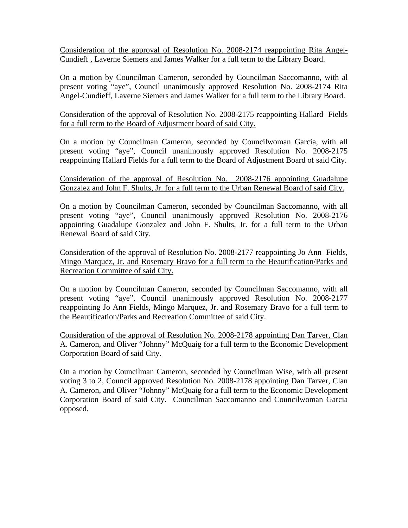Consideration of the approval of Resolution No. 2008-2174 reappointing Rita Angel-Cundieff , Laverne Siemers and James Walker for a full term to the Library Board.

On a motion by Councilman Cameron, seconded by Councilman Saccomanno, with al present voting "aye", Council unanimously approved Resolution No. 2008-2174 Rita Angel-Cundieff, Laverne Siemers and James Walker for a full term to the Library Board.

Consideration of the approval of Resolution No. 2008-2175 reappointing Hallard Fields for a full term to the Board of Adjustment board of said City.

On a motion by Councilman Cameron, seconded by Councilwoman Garcia, with all present voting "aye", Council unanimously approved Resolution No. 2008-2175 reappointing Hallard Fields for a full term to the Board of Adjustment Board of said City.

Consideration of the approval of Resolution No. 2008-2176 appointing Guadalupe Gonzalez and John F. Shults, Jr. for a full term to the Urban Renewal Board of said City.

On a motion by Councilman Cameron, seconded by Councilman Saccomanno, with all present voting "aye", Council unanimously approved Resolution No. 2008-2176 appointing Guadalupe Gonzalez and John F. Shults, Jr. for a full term to the Urban Renewal Board of said City.

Consideration of the approval of Resolution No. 2008-2177 reappointing Jo Ann Fields, Mingo Marquez, Jr. and Rosemary Bravo for a full term to the Beautification/Parks and Recreation Committee of said City.

On a motion by Councilman Cameron, seconded by Councilman Saccomanno, with all present voting "aye", Council unanimously approved Resolution No. 2008-2177 reappointing Jo Ann Fields, Mingo Marquez, Jr. and Rosemary Bravo for a full term to the Beautification/Parks and Recreation Committee of said City.

Consideration of the approval of Resolution No. 2008-2178 appointing Dan Tarver, Clan A. Cameron, and Oliver "Johnny" McQuaig for a full term to the Economic Development Corporation Board of said City.

On a motion by Councilman Cameron, seconded by Councilman Wise, with all present voting 3 to 2, Council approved Resolution No. 2008-2178 appointing Dan Tarver, Clan A. Cameron, and Oliver "Johnny" McQuaig for a full term to the Economic Development Corporation Board of said City. Councilman Saccomanno and Councilwoman Garcia opposed.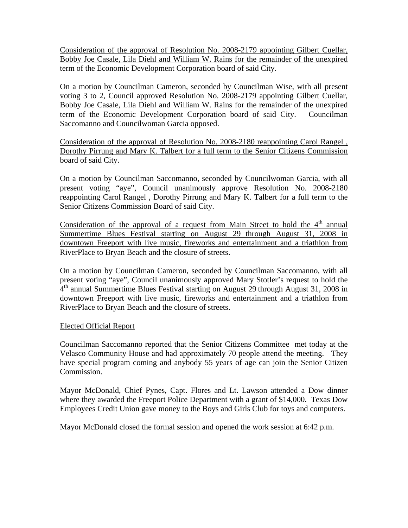Consideration of the approval of Resolution No. 2008-2179 appointing Gilbert Cuellar, Bobby Joe Casale, Lila Diehl and William W. Rains for the remainder of the unexpired term of the Economic Development Corporation board of said City.

On a motion by Councilman Cameron, seconded by Councilman Wise, with all present voting 3 to 2, Council approved Resolution No. 2008-2179 appointing Gilbert Cuellar, Bobby Joe Casale, Lila Diehl and William W. Rains for the remainder of the unexpired term of the Economic Development Corporation board of said City. Councilman Saccomanno and Councilwoman Garcia opposed.

Consideration of the approval of Resolution No. 2008-2180 reappointing Carol Rangel , Dorothy Pirrung and Mary K. Talbert for a full term to the Senior Citizens Commission board of said City.

On a motion by Councilman Saccomanno, seconded by Councilwoman Garcia, with all present voting "aye", Council unanimously approve Resolution No. 2008-2180 reappointing Carol Rangel , Dorothy Pirrung and Mary K. Talbert for a full term to the Senior Citizens Commission Board of said City.

Consideration of the approval of a request from Main Street to hold the  $4<sup>th</sup>$  annual Summertime Blues Festival starting on August 29 through August 31, 2008 in downtown Freeport with live music, fireworks and entertainment and a triathlon from RiverPlace to Bryan Beach and the closure of streets.

On a motion by Councilman Cameron, seconded by Councilman Saccomanno, with all present voting "aye", Council unanimously approved Mary Stotler's request to hold the  $4<sup>th</sup>$  annual Summertime Blues Festival starting on August 29 through August 31, 2008 in downtown Freeport with live music, fireworks and entertainment and a triathlon from RiverPlace to Bryan Beach and the closure of streets.

### Elected Official Report

Councilman Saccomanno reported that the Senior Citizens Committee met today at the Velasco Community House and had approximately 70 people attend the meeting. They have special program coming and anybody 55 years of age can join the Senior Citizen Commission.

Mayor McDonald, Chief Pynes, Capt. Flores and Lt. Lawson attended a Dow dinner where they awarded the Freeport Police Department with a grant of \$14,000. Texas Dow Employees Credit Union gave money to the Boys and Girls Club for toys and computers.

Mayor McDonald closed the formal session and opened the work session at 6:42 p.m.